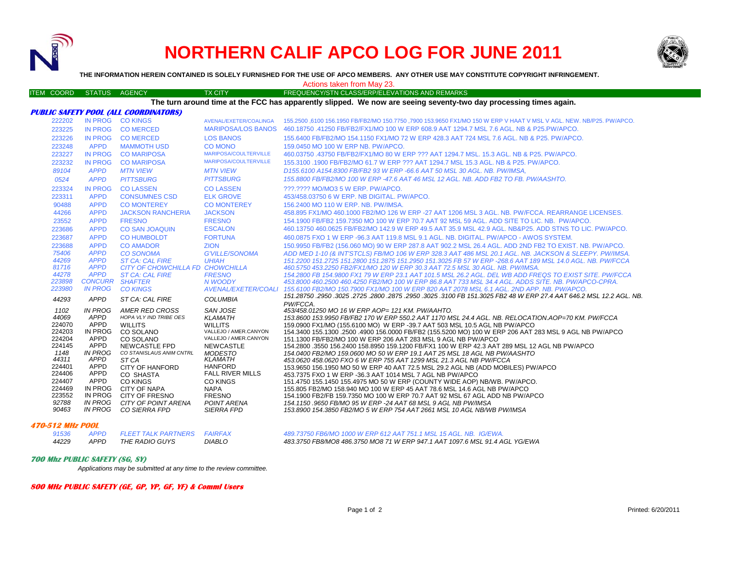

# **NORTHERN CALIF APCO LOG FOR JUNE 2011**



**THE INFORMATION HEREIN CONTAINED IS SOLELY FURNISHED FOR THE USE OF APCO MEMBERS. ANY OTHER USE MAY CONSTITUTE COPYRIGHT INFRINGEMENT.**

Actions taken from May 23.

#### ITEM COORD STATUS AGENCY TX CITY TX CITY FREQUENCY/STN CLASS/ERP/ELEVATIONS AND REMARKS

**The turn around time at the FCC has apparently slipped. We now are seeing seventy-two day processing times again.**

|                 |                                          | PUBLIC SAFETY PUUL (ALL COURDINATURS)            |                                       |                                                                                                                                                                                                  |
|-----------------|------------------------------------------|--------------------------------------------------|---------------------------------------|--------------------------------------------------------------------------------------------------------------------------------------------------------------------------------------------------|
| 222202          |                                          | IN PROG CO KINGS                                 | AVENAL/EXETER/COALINGA                | .155,2500 .6100 156,1950 FB/FB2/MO 150,7750 .7900 153,9650 FX1/MO 150 W ERP V HAAT V MSL V AGL. NEW, NB/P25, PW/APCO                                                                             |
| 223225          | <b>IN PROG</b>                           | <b>CO MERCED</b>                                 | <b>MARIPOSA/LOS BANOS</b>             | 460.18750 .41250 FB/FB2/FX1/MO 100 W ERP 608.9 AAT 1294.7 MSL 7.6 AGL. NB & P25.PW/APCO.                                                                                                         |
| 223226          | IN PROG                                  | <b>COMERCED</b>                                  | <b>LOS BANOS</b>                      | 155,6400 FB/FB2/MO 154,1150 FX1/MO 72 W ERP 428.3 AAT 724 MSL 7.6 AGL, NB & P25, PW/APCO,                                                                                                        |
| 223248          | <b>APPD</b>                              | <b>MAMMOTH USD</b>                               | CO MONO                               | 159,0450 MO 100 W ERP NB, PW/APCO,                                                                                                                                                               |
| 223227          | IN PROG                                  | <b>CO MARIPOSA</b>                               | MARIPOSA/COULTERVILLE                 | 460.03750 .43750 FB/FB2/FX1/MO 80 W ERP ??? AAT 1294.7 MSL, 15.3 AGL, NB & P25, PW/APCO.                                                                                                         |
| 223232          | <b>IN PROG</b>                           | <b>CO MARIPOSA</b>                               | MARIPOSA/COULTERVILLE                 | 155,3100 .1900 FB/FB2/MO 61.7 W ERP ??? AAT 1294.7 MSL 15.3 AGL, NB & P25, PW/APCO.                                                                                                              |
| 89104           | <b>APPD</b>                              | <b>MTN VIEW</b>                                  | <b>MTN VIEW</b>                       | D155.6100 A154.8300 FB/FB2 93 W ERP -66.6 AAT 50 MSL 30 AGL, NB, PW/IMSA,                                                                                                                        |
| 0524            | <b>APPD</b>                              | <b>PITTSBURG</b>                                 | <b>PITTSBURG</b>                      | 155.8800 FB/FB2/MO 100 W ERP -47.6 AAT 46 MSL 12 AGL. NB, ADD FB2 TO FB, PW/AASHTO,                                                                                                              |
| 223324          | <b>IN PROG</b>                           | <b>COLASSEN</b>                                  | <b>COLASSEN</b>                       | 222.2222 MO/MO3 5 W ERP. PW/APCO.                                                                                                                                                                |
| 223311          | <b>APPD</b>                              | <b>CONSUMNES CSD</b>                             | <b>ELK GROVE</b>                      | 453/458,03750 6 W ERP, NB DIGITAL, PW/APCO.                                                                                                                                                      |
| 90488           | <b>APPD</b>                              | <b>CO MONTEREY</b>                               | <b>CO MONTEREY</b>                    | 156,2400 MO 110 W ERP, NB, PW/IMSA.                                                                                                                                                              |
| 44266           | <b>APPD</b>                              | <b>JACKSON RANCHERIA</b>                         | <b>JACKSON</b>                        | 458.895 FX1/MO 460.1000 FB2/MO 126 W ERP -27 AAT 1206 MSL 3 AGL. NB. PW/FCCA, REARRANGE LICENSES.                                                                                                |
| 23552           | <b>APPD</b>                              | <b>FRESNO</b>                                    | <b>FRESNO</b>                         | 154.1900 FB/FB2 159.7350 MO 100 W ERP 70.7 AAT 92 MSL 59 AGL. ADD SITE TO LIC. NB. PW/APCO.                                                                                                      |
| 223686          | <b>APPD</b>                              | <b>CO SAN JOAQUIN</b>                            | <b>ESCALON</b>                        | 460.13750 460.0625 FB/FB2/MO 142.9 W ERP 49.5 AAT 35.9 MSL 42.9 AGL, NB&P25, ADD STNS TO LIC, PW/APCO,                                                                                           |
| 223687          | <b>APPD</b>                              | <b>CO HUMBOLDT</b>                               | <b>FORTUNA</b>                        | 460,0875 FXO 1 W ERP -96.3 AAT 119.8 MSL 9.1 AGL, NB, DIGITAL, PW/APCO - AWOS SYSTEM.                                                                                                            |
| 223688          | <b>APPD</b>                              | <b>CO AMADOR</b>                                 | <b>ZION</b>                           | 150.9950 FB/FB2 (156.060 MO) 90 W ERP 287.8 AAT 902.2 MSL 26.4 AGL, ADD 2ND FB2 TO EXIST, NB, PW/APCO,                                                                                           |
| 75406           | <b>APPD</b>                              | <b>CO SONOMA</b>                                 | <b>G'VILLE/SONOMA</b>                 | ADD MED 1-10 (& INT'STCLS) FB/MO 106 W ERP 328.3 AAT 486 MSL 20.1 AGL. NB. JACKSON & SLEEPY. PW/IMSA.                                                                                            |
| 44269           | <b>APPD</b>                              | <b>ST CA: CAL FIRE</b>                           | <b>UHIAH</b>                          | 151.2200 151.2725 151.2800 151.2875 151.2950 151.3025 FB 57 W ERP -268.6 AAT 189 MSL 14.0 AGL, NB, PW/FCCA                                                                                       |
| 81716           | <b>APPD</b>                              | CITY OF CHOWCHILLA FD CHOWCHILLA                 |                                       | 460.5750 453.2250 FB2/FX1/MO 120 W ERP 30.3 AAT 72.5 MSL 30 AGL, NB, PW/IMSA,                                                                                                                    |
| 44278<br>223898 | <b>APPD</b>                              | <b>ST CA: CAL FIRE</b>                           | <b>FRESNO</b>                         | 154.2800 FB 154.9800 FX1 79 W ERP 23.1 AAT 101.5 MSL 26.2 AGL. DEL WB ADD FREQS TO EXIST SITE. PW/FCCA                                                                                           |
| 223980          | <b>CONCURR SHAFTER</b><br><b>IN PROG</b> | <b>CO KINGS</b>                                  | N WOODY<br><b>AVENAL/EXETER/COALI</b> | 453,8000 460,2500 460,4250 FB2/MO 100 W ERP 86.8 AAT 733 MSL 34.4 AGL, ADDS SITE, NB, PW/APCO-CPRA,<br>155.6100 FB2/MO 150.7900 FX1/MO 100 W ERP 820 AAT 2078 MSL 6.1 AGL. 2ND APP, NB, PW/APCO, |
|                 |                                          |                                                  |                                       | .451.28750 .2950 .3025 .2725 .2800 .2875 .2950 .3025 .3100 FB 151.3025 FB2 48 W ERP 27.4 AAT 646.2 MSL 12.2 AGL NB                                                                               |
| 44293           | <b>APPD</b>                              | ST CA: CAL FIRE                                  | <b>COLUMBIA</b>                       | PW/FCCA.                                                                                                                                                                                         |
| 1102            | <b>IN PROG</b>                           | AMER RED CROSS                                   | SAN JOSE                              | 453/458.01250 MO 16 W ERP AOP= 121 KM. PW/AAHTO.                                                                                                                                                 |
| 44069           | APPD                                     | HOPA VLY IND TRIBE OES                           | <b>KLAMATH</b>                        | 153.8600 153.9950 FB/FB2 170 W ERP 550.2 AAT 1170 MSL 24.4 AGL. NB. RELOCATION.AOP=70 KM. PW/FCCA                                                                                                |
| 224070          | APPD                                     | <b>WILLITS</b>                                   | <b>WILLITS</b>                        | 159,0900 FX1/MO (155,6100 MO) W ERP -39,7 AAT 503 MSL 10.5 AGL NB PW/APCO                                                                                                                        |
| 224203          | <b>IN PROG</b>                           | CO SOLANO                                        | VALLEJO / AMER.CANYON                 | 154.3400 155.1300 .2500 .4900 156.0000 FB/FB2 (155.5200 MO) 100 W ERP 206 AAT 283 MSL 9 AGL NB PW/APCO                                                                                           |
| 224204          | APPD                                     | CO SOLANO                                        | VALLEJO / AMER.CANYON                 | 151.1300 FB/FB2/MO 100 W ERP 206 AAT 283 MSL 9 AGL NB PW/APCO                                                                                                                                    |
| 224145<br>1148  | APPD<br><b>IN PROG</b>                   | <b>NEWCASTLE FPD</b><br>CO STANISLAUS ANIM CNTRL | <b>NEWCASTLE</b><br><b>MODESTO</b>    | 154.2800 .3550 156.2400 158.8950 159.1200 FB/FX1 100 W ERP 42.3 AAT 289 MSL 12 AGL NB PW/APCO                                                                                                    |
| 44311           | APPD                                     | ST CA                                            | <b>KLAMATH</b>                        | 154.0400 FB2/MO 159.0600 MO 50 W ERP 19.1 AAT 25 MSL 18 AGL NB PW/AASHTO<br>453.0620 458.0620 FXO 6 W ERP 755 AAT 1299 MSL 21.3 AGL NB PW/FCCA                                                   |
| 224401          | APPD                                     | CITY OF HANFORD                                  | <b>HANFORD</b>                        | 153.9650 156.1950 MO 50 W ERP 40 AAT 72.5 MSL 29.2 AGL NB (ADD MOBILES) PW/APCO                                                                                                                  |
| 224406          | APPD                                     | CO SHASTA                                        | <b>FALL RIVER MILLS</b>               | 453.7375 FXO 1 W ERP -36.3 AAT 1014 MSL 7 AGL NB PW/APCO                                                                                                                                         |
| 224407          | APPD                                     | <b>CO KINGS</b>                                  | CO KINGS                              | 151.4750 155.1450 155.4975 MO 50 W ERP (COUNTY WIDE AOP) NB/WB. PW/APCO.                                                                                                                         |
| 224469          | IN PROG                                  | CITY OF NAPA                                     | <b>NAPA</b>                           | 155,805 FB2/MO 158,940 MO 100 W ERP 45 AAT 78.6 MSL 14.6 AGL NB PW/APCO                                                                                                                          |
| 223552          | IN PROG                                  | <b>CITY OF FRESNO</b>                            | <b>FRESNO</b>                         | 154.1900 FB2/FB 159.7350 MO 100 W ERP 70.7 AAT 92 MSL 67 AGL ADD NB PW/APCO                                                                                                                      |
| 92788           | IN PROG                                  | CITY OF POINT ARENA                              | POINT ARENA                           | 154.1150.9650 FB/MO 95 W ERP -24 AAT 68 MSL 9 AGL NB PW/IMSA                                                                                                                                     |
| 90463           | IN PROG                                  | CO SIERRA FPD                                    | <b>SIERRA FPD</b>                     | 153.8900 154.3850 FB2/MO 5 W ERP 754 AAT 2661 MSL 10 AGL NB/WB PW/IMSA                                                                                                                           |

### **470-512 MHz POOL**

| 91536 | APPD | FLEET TALK PARTNERS | FAIRFAX       |
|-------|------|---------------------|---------------|
| 44229 | APPD | THE RADIO GUYS      | <b>DIABLO</b> |

**PUBLIC SAFETY POOL (ALL COORDINATORS)**

## *489.73750 FB6/MO 1000 W ERP 612 AAT 751.1 MSL 15 AGL. NB. IG/EWA.*

*APPD THE RADIO GUYS DIABLO 483.3750 FB8/MO8 486.3750 MO8 71 W ERP 947.1 AAT 1097.6 MSL 91.4 AGL YG/EWA*

## **700 Mhz PUBLIC SAFETY (SG, SY)**

*Applications may be submitted at any time to the review committee.*

**800 MHz PUBLIC SAFETY (GE, GP, YP, GF, YF) & Comml Users**